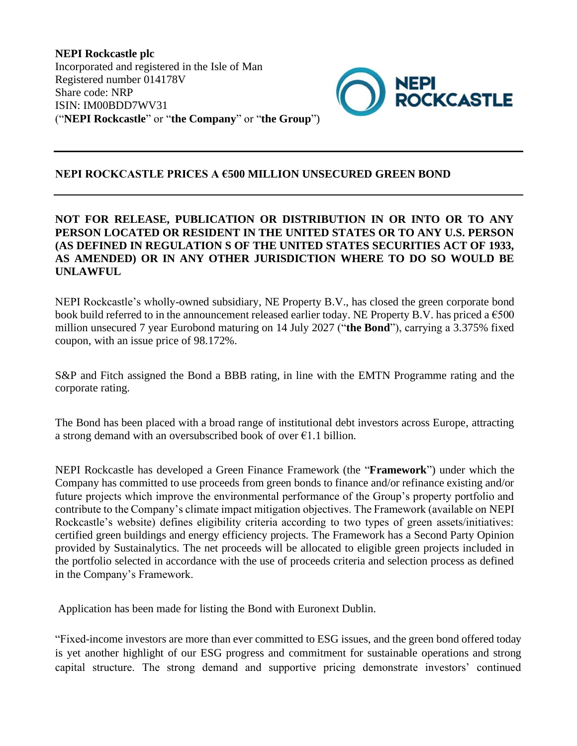**NEPI Rockcastle plc** Incorporated and registered in the Isle of Man Registered number 014178V Share code: NRP ISIN: IM00BDD7WV31 ("**NEPI Rockcastle**" or "**the Company**" or "**the Group**")



## **NEPI ROCKCASTLE PRICES A €500 MILLION UNSECURED GREEN BOND**

## **NOT FOR RELEASE, PUBLICATION OR DISTRIBUTION IN OR INTO OR TO ANY PERSON LOCATED OR RESIDENT IN THE UNITED STATES OR TO ANY U.S. PERSON (AS DEFINED IN REGULATION S OF THE UNITED STATES SECURITIES ACT OF 1933, AS AMENDED) OR IN ANY OTHER JURISDICTION WHERE TO DO SO WOULD BE UNLAWFUL**

NEPI Rockcastle's wholly-owned subsidiary, NE Property B.V., has closed the green corporate bond book build referred to in the announcement released earlier today. NE Property B.V. has priced a  $\epsilon$ 500 million unsecured 7 year Eurobond maturing on 14 July 2027 ("**the Bond**"), carrying a 3.375% fixed coupon, with an issue price of 98.172%.

S&P and Fitch assigned the Bond a BBB rating, in line with the EMTN Programme rating and the corporate rating.

The Bond has been placed with a broad range of institutional debt investors across Europe, attracting a strong demand with an oversubscribed book of over  $\epsilon$ 1.1 billion.

NEPI Rockcastle has developed a Green Finance Framework (the "**Framework**") under which the Company has committed to use proceeds from green bonds to finance and/or refinance existing and/or future projects which improve the environmental performance of the Group's property portfolio and contribute to the Company's climate impact mitigation objectives. The Framework (available on NEPI Rockcastle's website) defines eligibility criteria according to two types of green assets/initiatives: certified green buildings and energy efficiency projects. The Framework has a Second Party Opinion provided by Sustainalytics. The net proceeds will be allocated to eligible green projects included in the portfolio selected in accordance with the use of proceeds criteria and selection process as defined in the Company's Framework.

Application has been made for listing the Bond with Euronext Dublin.

"Fixed-income investors are more than ever committed to ESG issues, and the green bond offered today is yet another highlight of our ESG progress and commitment for sustainable operations and strong capital structure. The strong demand and supportive pricing demonstrate investors' continued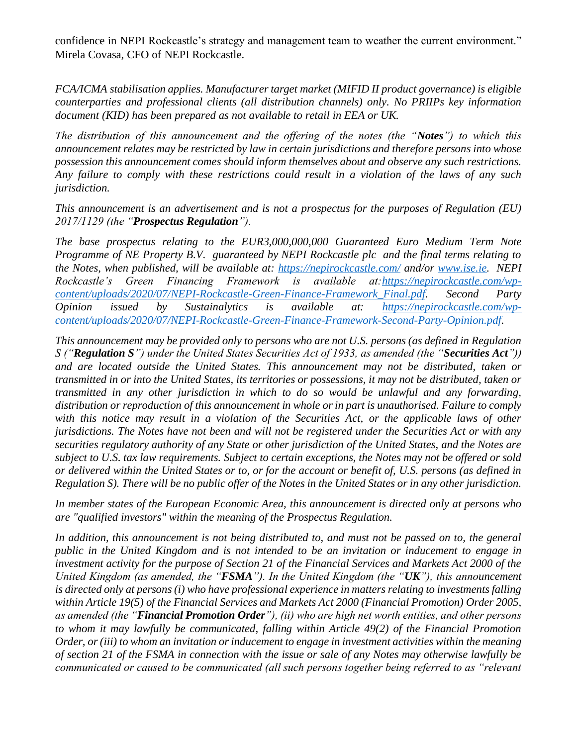confidence in NEPI Rockcastle's strategy and management team to weather the current environment." Mirela Covasa, CFO of NEPI Rockcastle.

*FCA/ICMA stabilisation applies. Manufacturer target market (MIFID II product governance) is eligible counterparties and professional clients (all distribution channels) only. No PRIIPs key information document (KID) has been prepared as not available to retail in EEA or UK.*

*The distribution of this announcement and the offering of the notes (the "Notes") to which this announcement relates may be restricted by law in certain jurisdictions and therefore persons into whose possession this announcement comes should inform themselves about and observe any such restrictions. Any failure to comply with these restrictions could result in a violation of the laws of any such jurisdiction.* 

*This announcement is an advertisement and is not a prospectus for the purposes of Regulation (EU) 2017/1129 (the "Prospectus Regulation").* 

*The base prospectus relating to the EUR3,000,000,000 Guaranteed Euro Medium Term Note Programme of NE Property B.V. guaranteed by NEPI Rockcastle plc and the final terms relating to the Notes, when published, will be available at:<https://nepirockcastle.com/> and/or [www.ise.ie.](http://www.ise.ie/) NEPI Rockcastle's Green Financing Framework is available at[:https://nepirockcastle.com/wp](https://nepirockcastle.com/wp-content/uploads/2020/07/NEPI-Rockcastle-Green-Finance-Framework_Final.pdf)[content/uploads/2020/07/NEPI-Rockcastle-Green-Finance-Framework\\_Final.pdf.](https://nepirockcastle.com/wp-content/uploads/2020/07/NEPI-Rockcastle-Green-Finance-Framework_Final.pdf) Second Party Opinion issued by Sustainalytics is available at: [https://nepirockcastle.com/wp](https://nepirockcastle.com/wp-content/uploads/2020/07/NEPI-Rockcastle-Green-Finance-Framework-Second-Party-Opinion.pdf)[content/uploads/2020/07/NEPI-Rockcastle-Green-Finance-Framework-Second-Party-Opinion.pdf.](https://nepirockcastle.com/wp-content/uploads/2020/07/NEPI-Rockcastle-Green-Finance-Framework-Second-Party-Opinion.pdf)*

*This announcement may be provided only to persons who are not U.S. persons (as defined in Regulation S ("Regulation S") under the United States Securities Act of 1933, as amended (the "Securities Act")) and are located outside the United States. This announcement may not be distributed, taken or transmitted in or into the United States, its territories or possessions, it may not be distributed, taken or transmitted in any other jurisdiction in which to do so would be unlawful and any forwarding, distribution or reproduction of this announcement in whole or in part is unauthorised. Failure to comply with this notice may result in a violation of the Securities Act, or the applicable laws of other jurisdictions. The Notes have not been and will not be registered under the Securities Act or with any securities regulatory authority of any State or other jurisdiction of the United States, and the Notes are subject to U.S. tax law requirements. Subject to certain exceptions, the Notes may not be offered or sold or delivered within the United States or to, or for the account or benefit of, U.S. persons (as defined in Regulation S). There will be no public offer of the Notes in the United States or in any other jurisdiction.*

*In member states of the European Economic Area, this announcement is directed only at persons who are "qualified investors" within the meaning of the Prospectus Regulation.*

*In addition, this announcement is not being distributed to, and must not be passed on to, the general public in the United Kingdom and is not intended to be an invitation or inducement to engage in investment activity for the purpose of Section 21 of the Financial Services and Markets Act 2000 of the United Kingdom (as amended, the "FSMA"). In the United Kingdom (the "UK"), this announcement is directed only at persons (i) who have professional experience in matters relating to investments falling within Article 19(5) of the Financial Services and Markets Act 2000 (Financial Promotion) Order 2005, as amended (the "Financial Promotion Order"), (ii) who are high net worth entities, and other persons to whom it may lawfully be communicated, falling within Article 49(2) of the Financial Promotion Order, or (iii) to whom an invitation or inducement to engage in investment activities within the meaning of section 21 of the FSMA in connection with the issue or sale of any Notes may otherwise lawfully be communicated or caused to be communicated (all such persons together being referred to as "relevant*